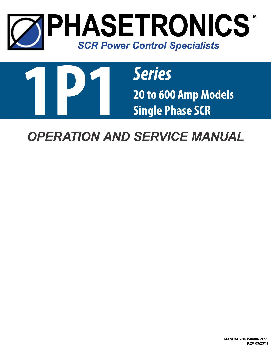



*OPERATION AND SERVICE MANUAL*

**MANUAL - 1P120600-REV3 REV 05/23/19**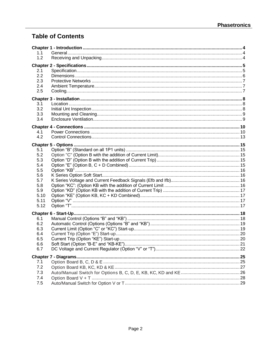# **Table of Contents**

| 1.1        |  |
|------------|--|
| 1.2        |  |
|            |  |
| 2.1        |  |
| 2.2        |  |
| 2.3        |  |
| 2.4        |  |
| 2.5        |  |
|            |  |
| 3.1        |  |
| 3.2        |  |
| 3.3        |  |
| 3.4        |  |
|            |  |
| 4.1        |  |
| 4.2        |  |
|            |  |
|            |  |
| 5.1        |  |
| 5.2        |  |
| 5.3        |  |
| 5.4        |  |
| 5.5        |  |
| 5.6<br>5.7 |  |
| 5.8        |  |
| 5.9        |  |
| 5.10       |  |
| 5.11       |  |
| 5.12       |  |
|            |  |
|            |  |
| 6.1<br>6.2 |  |
| 6.3        |  |
| 6.4        |  |
| 6.5        |  |
| 6.6        |  |
| 6.7        |  |
|            |  |
|            |  |
| 7.1<br>7.2 |  |
| 7.3        |  |
| 7.4        |  |
| 7.5        |  |
|            |  |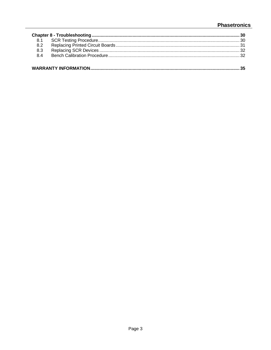# **Phasetronics**

| 8.2 |  |
|-----|--|
| 8.3 |  |
| 8.4 |  |
|     |  |
|     |  |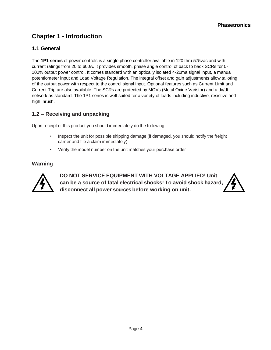# **Chapter 1 - Introduction**

### **1.1 General**

The **1P1 series** of power controls is a single phase controller available in 120 thru 575vac and with current ratings from 20 to 600A. It provides smooth, phase angle control of back to back SCRs for 0- 100% output power control. It comes standard with an optically isolated 4-20ma signal input, a manual potentiometer input and Load Voltage Regulation. The integral offset and gain adjustments allow tailoring of the output power with respect to the control signal input. Optional features such as Current Limit and Current Trip are also available. The SCRs are protected by MOVs (Metal Oxide Varistor) and a dv/dt network as standard. The 1P1 series is well suited for a variety of loads including inductive, resistive and high inrush.

## **1.2 – Receiving and unpacking**

Upon receipt of this product you should immediately do the following:

- Inspect the unit for possible shipping damage (if damaged, you should notify the freight carrier and file a claim immediately)
- Verify the model number on the unit matches your purchase order

### **Warning**



**DO NOT SERVICE EQUIPMENT WITH VOLTAGE APPLIED! Unit can be a source of fatal electrical shocks! To avoid shock hazard, disconnect all power sources before working on unit.**

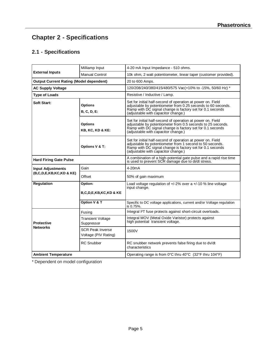# **Chapter 2 - Specifications**

# **2.1 - Specifications**

|                                                | Milliamp Input                                  | 4-20 mA Input Impedance - 510 ohms.                                                                                                                                                                                             |  |  |
|------------------------------------------------|-------------------------------------------------|---------------------------------------------------------------------------------------------------------------------------------------------------------------------------------------------------------------------------------|--|--|
| <b>External Inputs</b>                         | <b>Manual Control</b>                           | 10k ohm, 2 watt potentiometer, linear taper (customer provided).                                                                                                                                                                |  |  |
| <b>Output Current Rating (Model dependent)</b> |                                                 | 20 to 600 Amps.                                                                                                                                                                                                                 |  |  |
| <b>AC Supply Voltage</b>                       |                                                 | 120/208/240/380/415/480/575 Vac(+10% to -15%, 50/60 Hz) *                                                                                                                                                                       |  |  |
| <b>Type of Loads</b>                           |                                                 | Resistive / Inductive / Lamp.                                                                                                                                                                                                   |  |  |
| Soft Start:<br>Options<br><b>B, C, D, E:</b>   |                                                 | Set for initial half-second of operation at power on. Field<br>adjustable by potentiometer from 0.25 seconds to 60 seconds.<br>Ramp with DC signal change is factory set for 0.1 seconds<br>(adjustable with capacitor change.) |  |  |
|                                                | <b>Options</b><br>KB, KC, KD & KE:              | Set for initial half-second of operation at power on. Field<br>adjustable by potentiometer from 0.5 seconds to 25 seconds.<br>Ramp with DC signal change is factory set for 0.1 seconds<br>(adjustable with capacitor change.)  |  |  |
|                                                | Options V & T:                                  | Set for initial half-second of operation at power on. Field<br>adjustable by potentiometer from 1 second to 50 seconds.<br>Ramp with DC signal change is factory set for 0.1 seconds<br>(adjustable with capacitor change.)     |  |  |
| <b>Hard Firing Gate Pulse</b>                  |                                                 | A combination of a high-potential gate pulse and a rapid rise time<br>is used to prevent SCR damage due to di/dt stress.                                                                                                        |  |  |
| <b>Input Adjustments</b>                       | Gain                                            | 4-20 <sub>m</sub> A                                                                                                                                                                                                             |  |  |
| (B,C,D,E,KB,KC,KD & KE)                        | Offset                                          | 50% of gain maximum                                                                                                                                                                                                             |  |  |
| <b>Regulation</b>                              | Option:                                         | Load voltage regulation of $+/-2\%$ over a $+/-10\%$ line voltage<br>input change.                                                                                                                                              |  |  |
|                                                | <b>B.C.D.E.KB.KC.KD &amp; KE</b>                |                                                                                                                                                                                                                                 |  |  |
|                                                | Option V & T                                    | Specific to DC voltage applications, current and/or Voltage regulation<br>is 0.75%.                                                                                                                                             |  |  |
|                                                | Fusing                                          | Integral I <sup>2</sup> T fuse protects against short-circuit overloads.                                                                                                                                                        |  |  |
| <b>Protective</b>                              | <b>Transient Voltage</b><br>Suppressor          | Integral MOV (Metal Oxide Varistor) protects against<br>high potential transient voltage.                                                                                                                                       |  |  |
| <b>Networks</b>                                | <b>SCR Peak Inverse</b><br>Voltage (PIV Rating) | 1500V                                                                                                                                                                                                                           |  |  |
|                                                | <b>RC</b> Snubber                               | RC snubber network prevents false firing due to dv/dt<br>characteristics                                                                                                                                                        |  |  |
| <b>Ambient Temperature</b>                     |                                                 | Operating range is from 0°C thru 40°C (32°F thru 104°F)                                                                                                                                                                         |  |  |

\* Dependent on model configuration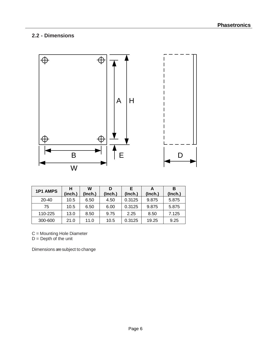# **2.2 - Dimensions**



| <b>1P1 AMPS</b> | н       | w       | D       | F       |         | в       |
|-----------------|---------|---------|---------|---------|---------|---------|
|                 | (inch.) | (Inch.) | (Inch.) | (Inch.) | (Inch.) | (Inch.) |
| $20 - 40$       | 10.5    | 6.50    | 4.50    | 0.3125  | 9.875   | 5.875   |
| 75              | 10.5    | 6.50    | 6.00    | 0.3125  | 9.875   | 5.875   |
| 110-225         | 13.0    | 8.50    | 9.75    | 2.25    | 8.50    | 7.125   |
| 300-600         | 21.0    | 11.0    | 10.5    | 0.3125  | 19.25   | 9.25    |

C = Mounting Hole Diameter

 $D =$  Depth of the unit

Dimensions are subject to change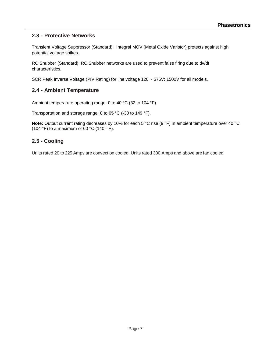### **2.3 - Protective Networks**

Transient Voltage Suppressor (Standard): Integral MOV (Metal Oxide Varistor) protects against high potential voltage spikes.

RC Snubber (Standard): RC Snubber networks are used to prevent false firing due to dv/dt characteristics.

SCR Peak Inverse Voltage (PIV Rating) for line voltage 120 ~ 575V: 1500V for all models.

### **2.4 - Ambient Temperature**

Ambient temperature operating range: 0 to 40 °C (32 to 104 °F).

Transportation and storage range: 0 to 65 °C (-30 to 149 °F).

**Note:** Output current rating decreases by 10% for each 5 °C rise (9 °F) in ambient temperature over 40 °C (104 °F) to a maximum of 60 °C (140 °F).

### **2.5 - Cooling**

Units rated 20 to 225 Amps are convection cooled. Units rated 300 Amps and above are fan cooled.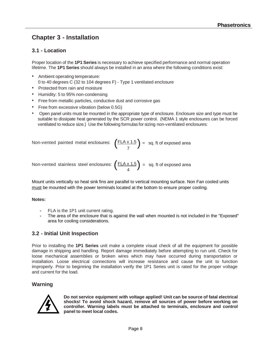# **Chapter 3 - Installation**

### **3.1 - Location**

Proper location of the **1P1 Series** is necessary to achieve specified performance and normal operation lifetime. The **1P1 Series** should always be installed in an area where the following conditions exist:

- Ambient operating temperature: 0 to 40 degrees C (32 to 104 degrees F) - Type 1 ventilated enclosure
- Protected from rain and moisture
- Humidity: 5 to 95% non-condensing
- Free from metallic particles, conductive dust and corrosive gas
- Free from excessive vibration (below 0.5G)
- Open panel units must be mounted in the appropriate type of enclosure. Enclosure size and type must be suitable to dissipate heat generated by the SCR power control. (NEMA 1 style enclosures can be forced ventilated to reduce size.) Use the following formulas for sizing non-ventilated enclosures:

Non-vented painted metal enclosures:  $\left(\frac{\text{FLA} \times 1.5}{7}\right)$  = sq. ft of exposed area  $\mathcal{N}$  7

Non-vented stainless steel enclosures:  $\left( \frac{\text{FLA} \times 1.5}{4} \right)$  = sq. ft of exposed area  $\sqrt{4}$ 

Mount units vertically so heat sink fins are parallel to vertical mounting surface. Non Fan cooled units must be mounted with the power terminals located at the bottom to ensure proper cooling.

#### **Notes:**

- **-** FLA is the 1P1 unit current rating.
- **-** The area of the enclosure that is against the wall when mounted is not included in the "Exposed" area for cooling considerations.

### **3.2 - Initial Unit Inspection**

Prior to installing the **1P1 Series** unit make a complete visual check of all the equipment for possible damage in shipping and handling. Report damage immediately before attempting to run unit. Check for loose mechanical assemblies or broken wires which may have occurred during transportation or installation. Loose electrical connections will increase resistance and cause the unit to function improperly. Prior to beginning the installation verify the 1P1 Series unit is rated for the proper voltage and current for the load.

### **Warning**



**Do not service equipment with voltage applied! Unit can be source of fatal electrical shocks! To avoid shock hazard, remove all sources of power before working on controller. Warning labels must be attached to terminals, enclosure and control panel to meet local codes.**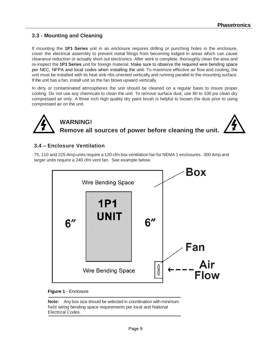### **3.3 - Mounting and Cleaning**

If mounting the **1P1 Series** unit in an enclosure requires drilling or punching holes in the enclosure, cover the electrical assembly to prevent metal filings from becoming lodged in areas which can cause clearance reduction or actually short out electronics. After work is complete, thoroughly clean the area and re-inspect the **1P1 Series** unit for foreign material. Make sure to observe the required wire bending space per NEC, NFPA and local codes when installing the unit. To maximize effective air flow and cooling, the unit must be installed with its heat sink ribs oriented vertically and running parallel to the mounting surface. If the unit has a fan, install unit so the fan blows upward vertically.

In dirty or contaminated atmospheres the unit should be cleaned on a regular basis to insure proper cooling. Do not use any chemicals to clean the unit. To remove surface dust, use 80 to 100 psi clean dry compressed air only. A three inch high quality dry paint brush is helpful to loosen the dust prior to using compressed air on the unit.



# **WARNING! Remove all sources of power before cleaning the unit.**



### **3.4 – Enclosure Ventilation**

75, 110 and 225 Amp units require a 120 cfm box ventilation fan for NEMA 1 enclosures. 300 Amp and larger units require a 240 cfm vent fan. See example below.



#### **Figure 1** - Enclosure

**Note:** Any box size should be selected in coordination with minimum field wiring bending space requirements per local and National Electrical Codes.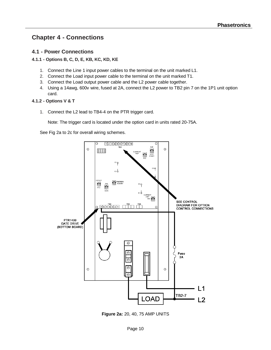# **Chapter 4 - Connections**

### **4.1 - Power Connections**

#### **4.1.1 - Options B, C, D, E, KB, KC, KD, KE**

- 1. Connect the Line 1 input power cables to the terminal on the unit marked L1.
- 2. Connect the Load input power cable to the terminal on the unit marked T1.
- 3. Connect the Load output power cable and the L2 power cable together.
- 4. Using a 14awg, 600v wire, fused at 2A, connect the L2 power to TB2 pin 7 on the 1P1 unit option card.

#### **4.1.2 - Options V & T**

1. Connect the L2 lead to TB4-4 on the PTR trigger card.

Note: The trigger card is located under the option card in units rated 20-75A.

See Fig 2a to 2c for overall wiring schemes.



**Figure 2a:** 20, 40, 75 AMP UNITS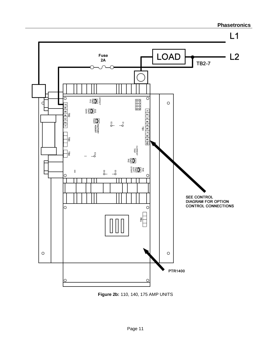

**Figure 2b:** 110, 140, 175 AMP UNITS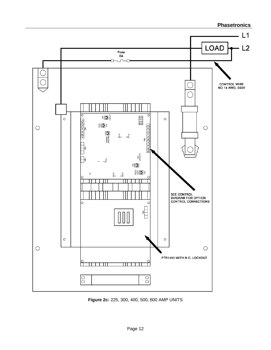

**Figure 2c:** 225, 300, 400, 500, 600 AMP UNITS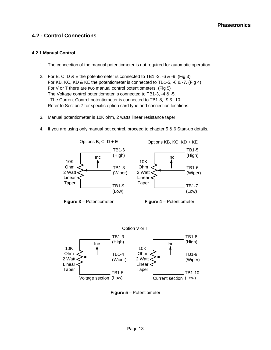### **4.2 - Control Connections**

#### **4.2.1 Manual Control**

- 1. The connection of the manual potentiometer is not required for automatic operation.
- 2. For B, C, D & E the potentiometer is connected to TB1 -3, -6 & -9. (Fig 3) For KB, KC, KD & KE the potentiometer is connected to TB1-5, -6 & -7. (Fig 4) For V or T there are two manual control potentiometers. (Fig 5) The Voltage control potentiometer is connected to TB1-3, -4 & -5. . The Current Control potentiometer is connected to TB1-8, -9 & -10. Refer to Section 7 for specific option card type and connection locations.
- 3. Manual potentiometer is 10K ohm, 2 watts linear resistance taper.
- 4. If you are using only manual pot control, proceed to chapter 5 & 6 Start-up details.



**Figure 5** – Potentiometer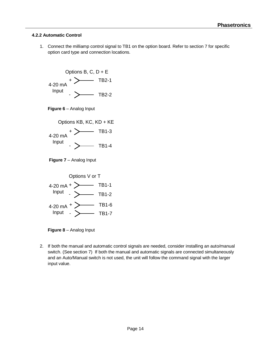#### **4.2.2 Automatic Control**

1. Connect the milliamp control signal to TB1 on the option board. Refer to section 7 for specific option card type and connection locations.







**Figure 8** – Analog Input

2. If both the manual and automatic control signals are needed, consider installing an auto/manual switch. (See section 7) If both the manual and automatic signals are connected simultaneously and an Auto/Manual switch is not used, the unit will follow the command signal with the larger input value.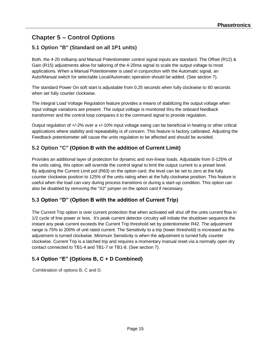# **Chapter 5 – Control Options**

# **5.1 Option "B" (Standard on all 1P1 units)**

Both, the 4-20 milliamp and Manual Potentiometer control signal inputs are standard. The Offset (R12) & Gain (R15) adjustments allow for tailoring of the 4-20ma signal to scale the output voltage to most applications. When a Manual Potentiometer is used in conjunction with the Automatic signal, an Auto/Manual switch for selectable Local/Automatic operation should be added. (See section 7).

The standard Power On soft start is adjustable from 0.25 seconds when fully clockwise to 60 seconds when set fully counter clockwise.

The integral Load Voltage Regulation feature provides a means of stabilizing the output voltage when input voltage variations are present .The output voltage is monitored thru the onboard feedback transformer and the control loop compares it to the command signal to provide regulation.

Output regulation of +/-2% over a +/-10% input voltage swing can be beneficial in heating or other critical applications where stability and repeatability is of concern. This feature is factory calibrated. Adjusting the Feedback potentiometer will cause the units regulation to be affected and should be avoided.

# **5.2 Option "C" (Option B with the addition of Current Limit)**

Provides an additional layer of protection for dynamic and non-linear loads. Adjustable from 0-125% of the units rating, this option will override the control signal to limit the output current to a preset level. By adjusting the Current Limit pot (R63) on the option card, the level can be set to zero at the fully counter clockwise position to 125% of the units rating when at the fully clockwise position. This feature is useful when the load can vary during process transitions or during a start-up condition. This option can also be disabled by removing the "X2" jumper on the option card if necessary.

## **5.3 Option "D" (Option B with the addition of Current Trip)**

The Current Trip option is over current protection that when activated will shut off the units current flow in 1/2 cycle of line power or less. It's peak current detector circuitry will initiate the shutdown sequence the instant any peak current exceeds the Current Trip threshold set by potentiometer R42. The adjustment range is 75% to 200% of unit rated current. The Sensitivity to a trip (lower threshold) is increased as the adjustment is turned clockwise. Minimum Sensitivity is when the adjustment is turned fully counter clockwise. Current Trip is a latched trip and requires a momentary manual reset via a normally open dry contact connected to TB1-4 and TB1-7 or TB1-8. (See section 7).

## **5.4 Option "E" (Options B, C + D Combined)**

Combination of options B, C and D.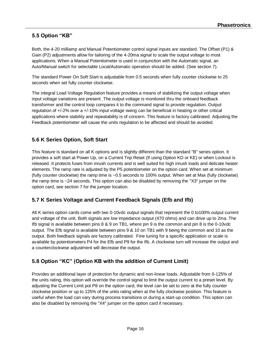## **5.5 Option "KB"**

Both, the 4-20 milliamp and Manual Potentiometer control signal inputs are standard. The Offset (P1) & Gain (P2) adjustments allow for tailoring of the 4-20ma signal to scale the output voltage to most applications. When a Manual Potentiometer is used in conjunction with the Automatic signal, an Auto/Manual switch for selectable Local/Automatic operation should be added. (See section 7).

The standard Power On Soft Start is adjustable from 0.5 seconds when fully counter clockwise to 25 seconds when set fully counter clockwise.

The integral Load Voltage Regulation feature provides a means of stabilizing the output voltage when input voltage variations are present .The output voltage is monitored thru the onboard feedback transformer and the control loop compares it to the command signal to provide regulation. Output regulation of +/-2% over a +/-10% input voltage swing can be beneficial in heating or other critical applications where stability and repeatability is of concern. This feature is factory calibrated. Adjusting the Feedback potentiometer will cause the units regulation to be affected and should be avoided.

### **5.6 K Series Option, Soft Start**

This feature is standard on all K options and is slightly different than the standard "B" series option. It provides a soft start at Power Up, on a Current Trip Reset (If using Option KD or KE) or when Lockout is released. It protects fuses from inrush currents and is well suited for high inrush loads and delicate heater elements. The ramp rate is adjusted by the P5 potentiometer on the option card. When set at minimum (fully counter clockwise) the ramp time is ~0.5 seconds to 100% output. When set at Max (fully clockwise) the ramp time is ~24 seconds. This option can also be disabled by removing the "X3" jumper on the option card, see section 7 for the jumper location.

### **5.7 K Series Voltage and Current Feedback Signals (Efb and Ifb)**

All K series option cards come with two 0-10vdc output signals that represent the 0 to100% output current and voltage of the unit. Both signals are low impedance output (470 ohms) and can drive up to 2ma. The Ifb signal is available between pins 8 & 9 on TB1, where pin 9 is the common and pin 8 is the 0-10vdc output. The Efb signal is available between pins 9 & 10 on TB1 with 9 being the common and 10 as the output. Both feedback signals are factory calibrated. Fine tuning for a specific application or scale is available by potentiometers P4 for the Efb and P9 for the Ifb. A clockwise turn will increase the output and a counterclockwise adjustment will decrease the output.

### **5.8 Option "KC" (Option KB with the addition of Current Limit)**

Provides an additional layer of protection for dynamic and non-linear loads. Adjustable from 0-125% of the units rating, this option will override the control signal to limit the output current to a preset level. By adjusting the Current Limit pot P8 on the option card, the level can be set to zero at the fully counter clockwise position or up to 125% of the units rating when at the fully clockwise position. This feature is useful when the load can vary during process transitions or during a start-up condition. This option can also be disabled by removing the "X4" jumper on the option card if necessary.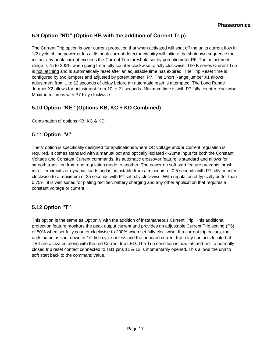## **5.9 Option "KD" (Option KB with the addition of Current Trip)**

The Current Trip option is over current protection that when activated will shut off the units current flow in 1/2 cycle of line power or less. Its peak current detector circuitry will initiate the shutdown sequence the instant any peak current exceeds the Current Trip threshold set by potentiometer P6. The adjustment range is 75 to 200% when going from fully counter clockwise to fully clockwise. The K series Current Trip is not latching and is automatically reset after an adjustable time has expired. The Trip Reset time is configured by two jumpers and adjusted by potentiometer, P7. The Short Range jumper X1 allows adjustment from 1 to 12 seconds of delay before an automatic reset is attempted. The Long Range Jumper X2 allows for adjustment from 10 to 21 seconds. Minimum time is with P7 fully counter clockwise. Maximum time is with P7 fully clockwise.

## **5.10 Option "KE" (Options KB, KC + KD Combined)**

Combination of options KB, KC & KD.

### **5.11 Option "V"**

The V option is specifically designed for applications where DC voltage and/or Current regulation is required. It comes standard with a manual pot and optically isolated 4-20ma input for both the Constant Voltage and Constant Current commands. Its automatic crossover feature is standard and allows for smooth transition from one regulation mode to another. The power on soft start feature prevents inrush into filter circuits or dynamic loads and is adjustable from a minimum of 0.5 seconds with P7 fully counter clockwise to a maximum of 25 seconds with P7 set fully clockwise. With regulation of typically better than 0.75%, it is well suited for plating rectifier, battery charging and any other application that requires a constant voltage or current.

## **5.12 Option "T"**

This option is the same as Option V with the addition of instantaneous Current Trip. This additional protection feature monitors the peak output current and provides an adjustable Current Trip setting (P6) of 50% when set fully counter clockwise to 200% when set fully clockwise. If a current trip occurs, the units output is shut down in 1/2 line cycle or less and the onboard current trip relay contacts located at TB4 are activated along with the red Current trip LED. The Trip condition is now latched until a normally closed trip reset contact connected to TB1 pins 11 & 12 is momentarily opened. This allows the unit to soft start back to the command value.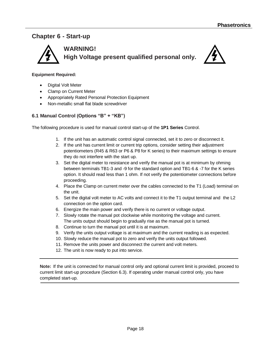# **Chapter 6 - Start-up**



#### **Equipment Required:**

- Digital Volt Meter
- Clamp on Current Meter
- Appropriately Rated Personal Protection Equipment
- Non-metallic small flat blade screwdriver

#### **6.1 Manual Control (Options "B" + "KB")**

The following procedure is used for manual control start-up of the **1P1 Series** Control.

- 1. If the unit has an automatic control signal connected, set it to zero or disconnect it.
- 2. If the unit has current limit or current trip options, consider setting their adjustment potentiometers (R45 & R63 or P6 & P8 for K series) to their maximum settings to ensure they do not interfere with the start up.
- 3. Set the digital meter to resistance and verify the manual pot is at minimum by ohming between terminals TB1-3 and -9 for the standard option and TB1-6 & -7 for the K series option. It should read less than 1 ohm. If not verify the potentiometer connections before proceeding.
- 4. Place the Clamp on current meter over the cables connected to the T1 (Load) terminal on the unit.
- 5. Set the digital volt meter to AC volts and connect it to the T1 output terminal and the L2 connection on the option card.
- 6. Energize the main power and verify there is no current or voltage output.
- 7. Slowly rotate the manual pot clockwise while monitoring the voltage and current. The units output should begin to gradually rise as the manual pot is turned.
- 8. Continue to turn the manual pot until it is at maximum.
- 9. Verify the units output voltage is at maximum and the current reading is as expected.
- 10. Slowly reduce the manual pot to zero and verify the units output followed.
- 11. Remove the units power and disconnect the current and volt meters.
- 12. The unit is now ready to put into service.

**Note:** If the unit is connected for manual control only and optional current limit is provided, proceed to current limit start-up procedure (Section 6.3). If operating under manual control only, you have completed start-up.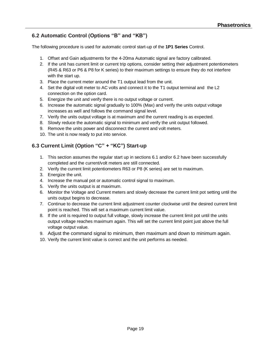## **6.2 Automatic Control (Options "B" and "KB")**

The following procedure is used for automatic control start-up of the **1P1 Series** Control.

- 1. Offset and Gain adjustments for the 4-20ma Automatic signal are factory calibrated.
- 2. If the unit has current limit or current trip options, consider setting their adjustment potentiometers (R45 & R63 or P6 & P8 for K series) to their maximum settings to ensure they do not interfere with the start up.
- 3. Place the current meter around the T1 output lead from the unit.
- 4. Set the digital volt meter to AC volts and connect it to the T1 output terminal and the L2 connection on the option card.
- 5. Energize the unit and verify there is no output voltage or current.
- 6. Increase the automatic signal gradually to 100% (Max) and verify the units output voltage increases as well and follows the command signal level.
- 7. Verify the units output voltage is at maximum and the current reading is as expected.
- 8. Slowly reduce the automatic signal to minimum and verify the unit output followed.
- 9. Remove the units power and disconnect the current and volt meters.
- 10. The unit is now ready to put into service.

### **6.3 Current Limit (Option "C" + "KC") Start-up**

- 1. This section assumes the regular start up in sections 6.1 and/or 6.2 have been successfully completed and the current/volt meters are still connected.
- 2. Verify the current limit potentiometers R63 or P8 (K series) are set to maximum.
- 3. Energize the unit.
- 4. Increase the manual pot or automatic control signal to maximum.
- 5. Verify the units output is at maximum.
- 6. Monitor the Voltage and Current meters and slowly decrease the current limit pot setting until the units output begins to decrease.
- 7. Continue to decrease the current limit adjustment counter clockwise until the desired current limit point is reached. This will set a maximum current limit value.
- 8. If the unit is required to output full voltage, slowly increase the current limit pot until the units output voltage reaches maximum again. This will set the current limit point just above the full voltage output value.
- 9. Adjust the command signal to minimum, then maximum and down to minimum again.
- 10. Verify the current limit value is correct and the unit performs as needed.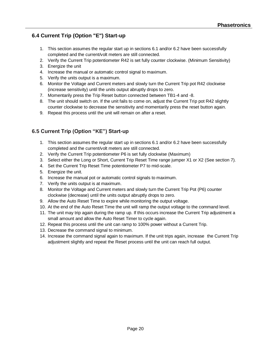# **6.4 Current Trip (Option "E") Start-up**

- 1. This section assumes the regular start up in sections 6.1 and/or 6.2 have been successfully completed and the current/volt meters are still connected.
- 2. Verify the Current Trip potentiometer R42 is set fully counter clockwise. (Minimum Sensitivity)
- 3. Energize the unit
- 4. Increase the manual or automatic control signal to maximum.
- 5. Verify the units output is a maximum.
- 6. Monitor the Voltage and Current meters and slowly turn the Current Trip pot R42 clockwise (increase sensitivity) until the units output abruptly drops to zero.
- 7. Momentarily press the Trip Reset button connected between TB1-4 and -8.
- 8. The unit should switch on. If the unit fails to come on, adjust the Current Trip pot R42 slightly counter clockwise to decrease the sensitivity and momentarily press the reset button again.
- 9. Repeat this process until the unit will remain on after a reset.

# **6.5 Current Trip (Option "KE") Start-up**

- 1. This section assumes the regular start up in sections 6.1 and/or 6.2 have been successfully completed and the current/volt meters are still connected.
- 2. Verify the Current Trip potentiometer P6 is set fully clockwise (Maximum)
- 3. Select either the Long or Short, Current Trip Reset Time range jumper X1 or X2 (See section 7).
- 4. Set the Current Trip Reset Time potentiometer P7 to mid-scale.
- 5. Energize the unit.
- 6. Increase the manual pot or automatic control signals to maximum.
- 7. Verify the units output is at maximum.
- 8. Monitor the Voltage and Current meters and slowly turn the Current Trip Pot (P6) counter clockwise (decrease) until the units output abruptly drops to zero.
- 9. Allow the Auto Reset Time to expire while monitoring the output voltage.
- 10. At the end of the Auto Reset Time the unit will ramp the output voltage to the command level.
- 11. The unit may trip again during the ramp up. If this occurs increase the Current Trip adjustment a small amount and allow the Auto Reset Timer to cycle again.
- 12. Repeat this process until the unit can ramp to 100% power without a Current Trip.
- 13. Decrease the command signal to minimum.
- 14. Increase the command signal again to maximum. If the unit trips again, increase the Current Trip adjustment slightly and repeat the Reset process until the unit can reach full output.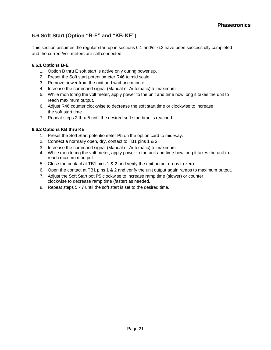# **6.6 Soft Start (Option "B-E" and "KB-KE")**

This section assumes the regular start up in sections 6.1 and/or 6.2 have been successfully completed and the current/volt meters are still connected.

#### **6.6.1 Options B-E**

- 1. Option B thru E soft start is active only during power up.
- 2. Preset the Soft start potentiometer R46 to mid scale.
- 3. Remove power from the unit and wait one minute.
- 4. Increase the command signal (Manual or Automatic) to maximum.
- 5. While monitoring the volt meter, apply power to the unit and time how long it takes the unit to reach maximum output.
- 6. Adjust R46 counter clockwise to decrease the soft start time or clockwise to increase the soft start time.
- 7. Repeat steps 2 thru 5 until the desired soft start time is reached.

#### **6.6.2 Options KB thru KE**

- 1. Preset the Soft Start potentiometer P5 on the option card to mid-way.
- 2. Connect a normally open, dry, contact to TB1 pins 1 & 2.
- 3. Increase the command signal (Manual or Automatic) to maximum.
- 4. While monitoring the volt meter, apply power to the unit and time how long it takes the unit to reach maximum output.
- 5. Close the contact at TB1 pins 1 & 2 and verify the unit output drops to zero.
- 6. Open the contact at TB1 pins 1 & 2 and verify the unit output again ramps to maximum output.
- 7. Adjust the Soft Start pot P5 clockwise to increase ramp time (slower) or counter clockwise to decrease ramp time (faster) as needed.
- 8. Repeat steps 5 7 until the soft start is set to the desired time.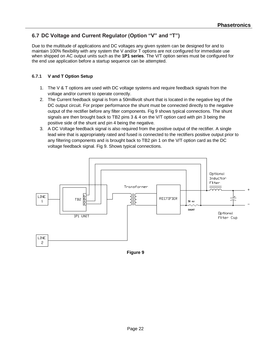## **6.7 DC Voltage and Current Regulator (Option "V" and "T")**

Due to the multitude of applications and DC voltages any given system can be designed for and to maintain 100% flexibility with any system the V and/or T options are not configured for immediate use when shipped on AC output units such as the **1P1 series**. The V/T option series must be configured for the end use application before a startup sequence can be attempted.

#### **6.7.1 V and T Option Setup**

- 1. The V & T options are used with DC voltage systems and require feedback signals from the voltage and/or current to operate correctly.
- 2. The Current feedback signal is from a 50millivolt shunt that is located in the negative leg of the DC output circuit. For proper performance the shunt must be connected directly to the negative output of the rectifier before any filter components. Fig 9 shows typical connections. The shunt signals are then brought back to TB2 pins 3 & 4 on the V/T option card with pin 3 being the positive side of the shunt and pin 4 being the negative.
- 3. A DC Voltage feedback signal is also required from the positive output of the rectifier. A single lead wire that is appropriately rated and fused is connected to the rectifiers positive output prior to any filtering components and is brought back to TB2 pin 1 on the V/T option card as the DC voltage feedback signal. Fig 9. Shows typical connections.



**Figure 9**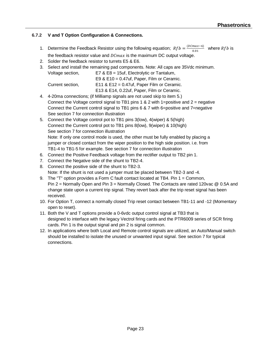### **6.7.2 V and T Option Configuration & Connections.**

- 1. Determine the Feedback Resistor using the following equation;  $Rfb = \frac{(DCmax 6)}{0.01}$  $\frac{max-6j}{0.01}$  where *Rfb* is the feedback resistor value and  $DCmax$  is the maximum DC output voltage.
- 2. Solder the feedback resistor to turrets E5 & E6.
- 3. Select and install the remaining pad components. Note: All caps are 35Vdc minimum.

| Voltage section, | E7 & E8 = 15 uf, Electrolytic or Tantalum,    |  |  |
|------------------|-----------------------------------------------|--|--|
|                  | E9 & $E10 = 0.47$ uf, Paper, Film or Ceramic. |  |  |
| Current section. | E11 & E12 = $0.47$ uf, Paper Film or Ceramic. |  |  |
|                  | E13 & E14, 0.22uf, Paper, Film or Ceramic.    |  |  |

- 4. 4-20ma connections; (if Milliamp signals are not used skip to item 5.) Connect the Voltage control signal to TB1 pins 1 & 2 with 1=positive and  $2$  = negative Connect the Current control signal to TB1 pins 6 & 7 with 6=positive and 7=negative See section 7 for connection illustration
- 5. Connect the Voltage control pot to TB1 pins 3(low), 4(wiper) & 5(high) Connect the Current control pot to TB1 pins 8(low), 9(wiper) & 10(high) See section 7 for connection illustration Note: If only one control mode is used, the other must be fully enabled by placing a jumper or closed contact from the wiper position to the high side position. i.e. from TB1-4 to TB1-5 for example. See section 7 for connection illustration
- 6. Connect the Positive Feedback voltage from the rectifier output to TB2 pin 1.
- 7. Connect the Negative side of the shunt to TB2-4.
- 8. Connect the positive side of the shunt to TB2-3. Note: If the shunt is not used a jumper must be placed between TB2-3 and -4.
- 9. The "T" option provides a Form C fault contact located at TB4. Pin 1 = Common, Pin 2 = Normally Open and Pin 3 = Normally Closed. The Contacts are rated 120vac @ 0.5A and change state upon a current trip signal. They revert back after the trip reset signal has been received.
- 10. For Option T, connect a normally closed Trip reset contact between TB1-11 and -12 (Momentary open to reset).
- 11. Both the V and T options provide a 0-6vdc output control signal at TB3 that is designed to interface with the legacy Vectrol firing cards and the PTR6009 series of SCR firing cards. Pin 1 is the output signal and pin 2 is signal common.
- 12. In applications where both Local and Remote control signals are utilized, an Auto/Manual switch should be installed to isolate the unused or unwanted input signal. See section 7 for typical connections.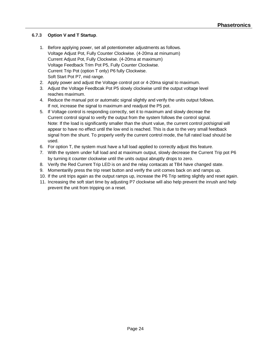#### **6.7.3 Option V and T Startup**.

- 1. Before applying power, set all potentiometer adjustments as follows. Voltage Adjust Pot, Fully Counter Clockwise. (4-20ma at minumum) Current Adjust Pot, Fully Clockwise. (4-20ma at maximum) Voltage Feedback Trim Pot P5, Fully Counter Clockwise. Current Trip Pot (option T only) P6 fully Clockwise. Soft Start Pot P7, mid range.
- 2. Apply power and adjust the Voltage control pot or 4-20ma signal to maximum.
- 3. Adjust the Voltage Feedbcak Pot P5 slowly clockwise until the output voltage level reaches maximum.
- 4. Reduce the manual pot or automatic signal slightly and verify the units output follows. If not, increase the signal to maximum and readjust the P5 pot.
- 5. If Voltage control is responding correctly, set it to maximum and slowly decreae the Current control signal to verify the output from the system follows the control signal. Note: If the load is significantly smaller than the shunt value, the current control pot/signal will appear to have no effect until the low end is reached. This is due to the very small feedback signal from the shunt. To properly verify the current control mode, the full rated load should be used.
- 6. For option T, the system must have a full load applied to correctly adjust this feature.
- 7. With the system under full load and at maximum output, slowly decrease the Current Trip pot P6 by turning it counter clockwise until the units output abruptly drops to zero.
- 8. Verify the Red Current Trip LED is on and the relay contacats at TB4 have changed state.
- 9. Momentarilly press the trip reset button and verify the unit comes back on and ramps up.
- 10. If the unit trips again as the output ramps up, increase the P6 Trip setting slightly and reset again.
- 11. Increasing the soft start time by adjusting P7 clockwise will also help prevent the inrush and help prevent the unit from tripping on a reset.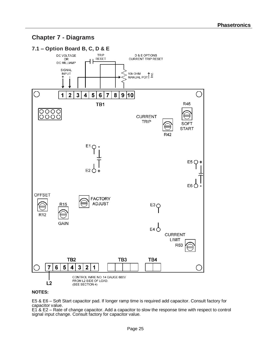# **Chapter 7 - Diagrams**



#### **NOTES:**

E5 & E6 – Soft Start capacitor pad. If longer ramp time is required add capacitor. Consult factory for capacitor value.

E1 & E2 – Rate of change capacitor. Add a capacitor to slow the response time with respect to control signal input change. Consult factory for capacitor value.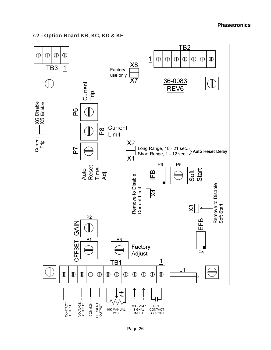$\overline{\textsf{TB2}}$  $\mathbb D$  $\mathbb D$  $\mathbb D$  $^\circledR$  $\mathbf 1$  $\mathbb{D}$  $\mathbb{D}$  $\mathbb{D}$  $\mathbb D$  $\mathbb{D}$  $\mathbb D$  $^\circledR$ Х8  $\overline{1}$  $\overline{TB3}$ Factory use only 36-0083 Current<br>Trip REV<sub>6</sub> X6 Disable<br>X5 Enable  $\frac{8}{2}$  $\Box$ Current  $\overline{P}8$ Limit Current<br>Trip Х2 P7 Long Range, 10 - 21 sec. > Auto Reset Delay<br>Short Range, 1 - 12 sec. > Auto Reset Delay  $\overline{\text{X1}}$ P9 P<sub>5</sub> Auto<br>Reset<br>Time<br>Adj. Start Soft m Remove to Disable Щ Remove to Disable<br>Soft Start Current Limit  $\overline{\mathbb{X}}$  $\times$ P<sub>2</sub> EFB GAIN J  $P<sub>1</sub>$ P3 OFFSET Factory P<sub>4</sub> Adjust TB1 1  $J<sub>1</sub>$  $\mathbb D$  $\mathbb D$  $\mathbb D$  $\mathbb D$  $\mathbb D$  $\mathbb D$  $\mathbb D$  $\mathbb D$  $\mathbb D$ ⊕  $^\circledR$  $^\circledR$ 1 ↓™  $\frac{1}{+}$  $\ddot{+}$ CONTACT<br>OUTPUT **VOLTAGE**<br>OUTPUT CURRENT<br>OUTPUT COMMON **MILLIAMP DRY** 10K MANUAL SIGNAL CONTACT POT **INPUT** LOCKOUT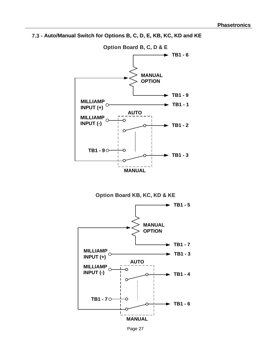



**Option Board KB, KC, KD & KE**



Page 27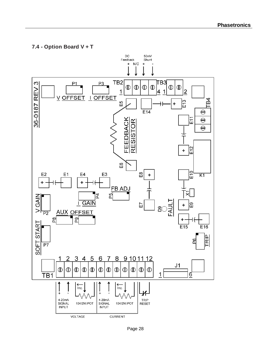## **7.4 - Option Board V + T**

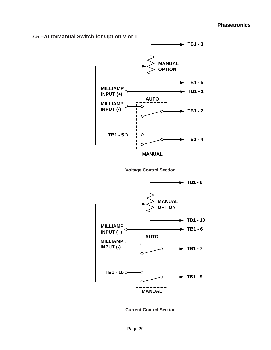

**Current Control Section**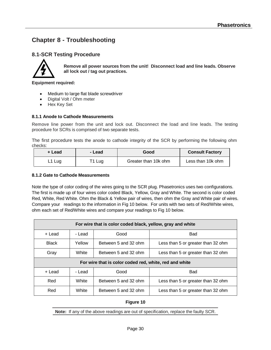# **Chapter 8 - Troubleshooting**

### **8.1-SCR Testing Procedure**



**Remove all power sources from the unit! Disconnect load and line leads. Observe all lock out / tag out practices.**

**Equipment required:** 

- Medium to large flat blade screwdriver
- Digital Volt / Ohm meter
- Hex Key Set

#### **8.1.1 Anode to Cathode Measurements**

Remove line power from the unit and lock out. Disconnect the load and line leads. The testing procedure for SCRs is comprised of two separate tests.

The first procedure tests the anode to cathode integrity of the SCR by performing the following ohm checks:

| + Lead | - Lead | Good                 | <b>Consult Factory</b> |
|--------|--------|----------------------|------------------------|
| L1 Lug | T1 Lug | Greater than 10k ohm | Less than 10k ohm      |

#### **8.1.2 Gate to Cathode Measurements**

Note the type of color coding of the wires going to the SCR plug. Phasetronics uses two configurations. The first is made up of four wires color coded Black, Yellow, Gray and White. The second is color coded Red, White, Red White. Ohm the Black & Yellow pair of wires, then ohm the Gray and White pair of wires. Compare your readings to the information in Fig 10 below. For units with two sets of Red/White wires, ohm each set of Red/White wires and compare your readings to Fig 10 below.

| For wire that is color coded black, yellow, gray and white |        |                      |                                    |  |  |
|------------------------------------------------------------|--------|----------------------|------------------------------------|--|--|
| + Lead                                                     | - Lead | Good                 | <b>Bad</b>                         |  |  |
| <b>Black</b>                                               | Yellow | Between 5 and 32 ohm | Less than 5 or greater than 32 ohm |  |  |
| White<br>Gray                                              |        | Between 5 and 32 ohm | Less than 5 or greater than 32 ohm |  |  |
| For wire that is color coded red, white, red and white     |        |                      |                                    |  |  |
| + Lead                                                     | - Lead | Good                 | <b>Bad</b>                         |  |  |
| Red<br>White<br>Between 5 and 32 ohm                       |        |                      | Less than 5 or greater than 32 ohm |  |  |
| White<br>Red<br>Between 5 and 32 ohm                       |        |                      | Less than 5 or greater than 32 ohm |  |  |

#### **Figure 10**

**Note:** If any of the above readings are out of specification, replace the faulty SCR.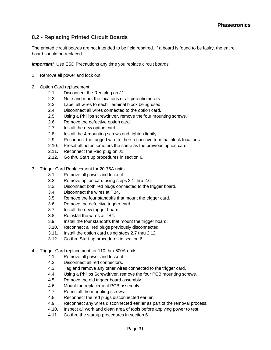## **8.2 - Replacing Printed Circuit Boards**

The printed circuit boards are not intended to be field repaired. If a board is found to be faulty, the entire board should be replaced.

**Important!** Use ESD Precautions any time you replace circuit boards.

- 1. Remove all power and lock out
- 2. Option Card replacement.
	- 2.1. Disconnect the Red plug on J1.
	- 2.2. Note and mark the locations of all potentiometers.
	- 2.3. Label all wires to each Terminal block being used.
	- 2.4. Disconnect all wires connected to the option card.
	- 2.5. Using a Phillips screwdriver, remove the four mounting screws.
	- 2.6. Remove the defective option card.
	- 2.7. Install the new option card
	- 2.8. Install the 4 mounting screws and tighten lightly.
	- 2.9. Reconnect the tagged wire to their respective terminal block locations.
	- 2.10. Preset all potentiometers the same as the previous option card.
	- 2.11. Reconnect the Red plug on J1.
	- 2.12. Go thru Start up procedures in section 6.
- 3. Trigger Card Replacement for 20-75A units.
	- 3.1. Remove all power and lockout.
	- 3.2. Remove option card using steps 2.1 thru 2.6.
	- 3.3. Disconnect both red plugs connected to the trigger board.
	- 3.4. Disconnect the wires at TB4.
	- 3.5. Remove the four standoffs that mount the trigger card.
	- 3.6. Remove the defective trigger card.
	- 3.7. Install the new trigger board.
	- 3.8. Reinstall the wires at TB4.
	- 3.9. Install the four standoffs that mount the trigger board.
	- 3.10. Reconnect all red plugs previously disconnected.
	- 3.11. Install the option card using steps 2.7 thru 2.12.
	- 3.12. Go thru Start up procedures in section 6.
- 4. Trigger Card replacement for 110 thru 600A units.
	- 4.1. Remove all power and lockout.
	- 4.2. Disconnect all red connectors.
	- 4.3. Tag and remove any other wires connected to the trigger card.
	- 4.4. Using a Philips Screwdriver, remove the four PCB mounting screws.
	- 4.5. Remove the old trigger board assembly.
	- 4.6. Mount the replacement PCB assembly.
	- 4.7. Re-install the mounting screws.
	- 4.8. Reconnect the red plugs disconnected earlier.
	- 4.9. Reconnect any wires disconnected earlier as part of the removal process.
	- 4.10. Inspect all work and clean area of tools before applying power to test.
	- 4.11. Go thru the startup procedures in section 6.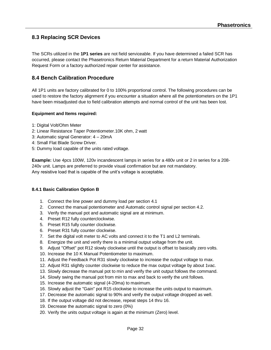### **8.3 Replacing SCR Devices**

The SCRs utilized in the **1P1 series** are not field serviceable. If you have determined a failed SCR has occurred, please contact the Phasetronics Return Material Department for a return Material Authorization Request Form or a factory authorized repair center for assistance.

#### **8.4 Bench Calibration Procedure**

All 1P1 units are factory calibrated for 0 to 100% proportional control. The following procedures can be used to restore the factory alignment if you encounter a situation where all the potentiometers on the 1P1 have been misadjusted due to field calibration attempts and normal control of the unit has been lost.

#### **Equipment and Items required:**

- 1: Digital Volt/Ohm Meter
- 2: Linear Resistance Taper Potentiometer.10K ohm, 2 watt
- 3: Automatic signal Generator: 4 20mA
- 4: Small Flat Blade Screw Driver.
- 5: Dummy load capable of the units rated voltage.

**Example:** Use 4pcs 100W, 120v incandescent lamps in series for a 480v unit or 2 in series for a 208- 240v unit. Lamps are preferred to provide visual confirmation but are not mandatory. Any resistive load that is capable of the unit's voltage is acceptable.

#### **8.4.1 Basic Calibration Option B**

- 1. Connect the line power and dummy load per section 4.1
- 2. Connect the manual potentiometer and Automatic control signal per section 4.2.
- 3. Verify the manual pot and automatic signal are at minimum.
- 4. Preset R12 fully counterclockwise.
- 5. Preset R15 fully counter clockwise.
- 6. Preset R31 fully counter clockwise.
- 7. Set the digital volt meter to AC volts and connect it to the T1 and L2 terminals.
- 8. Energize the unit and verify there is a minimal output voltage from the unit.
- 9. Adjust "Offset" pot R12 slowly clockwise until the output is offset to basically zero volts.
- 10. Increase the 10 K Manual Potentiometer to maximum.
- 11. Adjust the Feedback Pot R31 slowly clockwise to increase the output voltage to max.
- 12. Adjust R31 slightly counter clockwise to reduce the max output voltage by about 1vac.
- 13. Slowly decrease the manual pot to min and verify the unit output follows the command.
- 14. Slowly swing the manual pot from min to max and back to verify the unit follows.
- 15. Increase the automatic signal (4-20ma) to maximum.
- 16. Slowly adjust the "Gain" pot R15 clockwise to increase the units output to maximum.
- 17. Decrease the automatic signal to 90% and verify the output voltage dropped as well.
- 18. If the output voltage did not decrease, repeat steps 14 thru 16.
- 19. Decrease the automatic signal to zero (0%)
- 20. Verify the units output voltage is again at the minimum (Zero) level.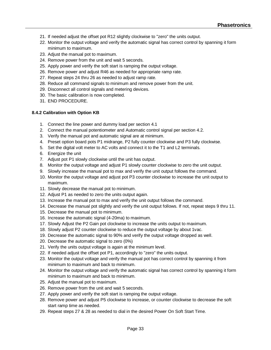- 21. If needed adjust the offset pot R12 slightly clockwise to "zero" the units output.
- 22. Monitor the output voltage and verify the automatic signal has correct control by spanning it form minimum to maximum.
- 23. Adjust the manual pot to maximum.
- 24. Remove power from the unit and wait 5 seconds.
- 25. Apply power and verify the soft start is ramping the output voltage.
- 26. Remove power and adjust R46 as needed for appropriate ramp rate.
- 27. Repeat steps 24 thru 26 as needed to adjust ramp rate.
- 28. Reduce all command signals to minimum and remove power from the unit.
- 29. Disconnect all control signals and metering devices.
- 30. The basic calibration is now completed.
- 31. END PROCEDURE.

#### **8.4.2 Calibration with Option KB**

- 1. Connect the line power and dummy load per section 4.1
- 2. Connect the manual potentiometer and Automatic control signal per section 4.2.
- 3. Verify the manual pot and automatic signal are at minimum.
- 4. Preset option board pots P1 midrange, P2 fully counter clockwise and P3 fully clockwise.
- 5. Set the digital volt meter to AC volts and connect it to the T1 and L2 terminals.
- 6. Energize the unit
- 7. Adjust pot P1 slowly clockwise until the unit has output.
- 8. Monitor the output voltage and adjust P1 slowly counter clockwise to zero the unit output.
- 9. Slowly increase the manual pot to max and verify the unit output follows the command.
- 10. Monitor the output voltage and adjust pot P3 counter clockwise to increase the unit output to maximum.
- 11. Slowly decrease the manual pot to minimum.
- 12. Adjust P1 as needed to zero the units output again.
- 13. Increase the manual pot to max and verify the unit output follows the command.
- 14. Decrease the manual pot slightly and verify the unit output follows. If not, repeat steps 9 thru 11.
- 15. Decrease the manual pot to minimum.
- 16. Increase the automatic signal (4-20ma) to maximum.
- 17. Slowly Adjust the P2 Gain pot clockwise to increase the units output to maximum.
- 18. Slowly adjust P2 counter clockwise to reduce the output voltage by about 1vac.
- 19. Decrease the automatic signal to 90% and verify the output voltage dropped as well.
- 20. Decrease the automatic signal to zero (0%)
- 21. Verify the units output voltage is again at the minimum level.
- 22. If needed adjust the offset pot P1, accordingly to "zero" the units output.
- 23. Monitor the output voltage and verify the manual pot has correct control by spanning it from minimum to maximum and back to minimum.
- 24. Monitor the output voltage and verify the automatic signal has correct control by spanning it form minimum to maximum and back to minimum.
- 25. Adjust the manual pot to maximum.
- 26. Remove power from the unit and wait 5 seconds.
- 27. Apply power and verify the soft start is ramping the output voltage.
- 28. Remove power and adjust P5 clockwise to increase, or counter clockwise to decrease the soft start ramp time as needed.
- 29. Repeat steps 27 & 28 as needed to dial in the desired Power On Soft Start Time.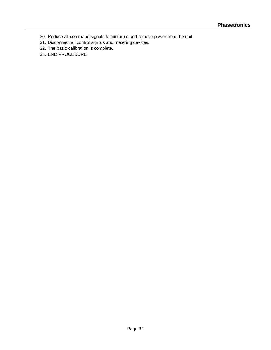- 30. Reduce all command signals to minimum and remove power from the unit.
- 31. Disconnect all control signals and metering devices.
- 32. The basic calibration is complete.
- 33. END PROCEDURE